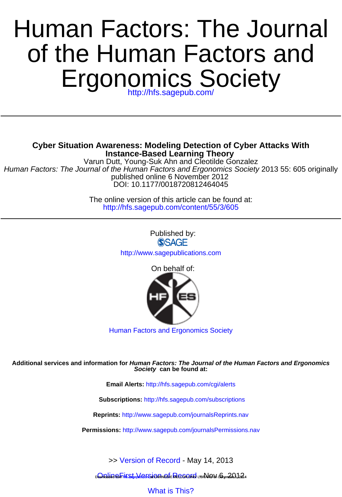# Ergonomics Society of the Human Factors and Human Factors: The Journal

# **Instance-Based Learning Theory Cyber Situation Awareness: Modeling Detection of Cyber Attacks With**

DOI: 10.1177/0018720812464045 published online 6 November 2012 Human Factors: The Journal of the Human Factors and Ergonomics Society 2013 55: 605 originally Varun Dutt, Young-Suk Ahn and Cleotilde Gonzalez

> <http://hfs.sagepub.com/content/55/3/605> The online version of this article can be found at:

> > Published by: **SSAGE** <http://www.sagepublications.com>

> > > On behalf of:



[Human Factors and Ergonomics Society](http://www.hfes.org)

**Society can be found at: Additional services and information for Human Factors: The Journal of the Human Factors and Ergonomics**

**Email Alerts:** <http://hfs.sagepub.com/cgi/alerts>

**Subscriptions:** <http://hfs.sagepub.com/subscriptions>

**Reprints:** <http://www.sagepub.com/journalsReprints.nav>

**Permissions:** <http://www.sagepub.com/journalsPermissions.nav>

>> [Version of Record -](http://hfs.sagepub.com/content/55/3/605.full.pdf) May 14, 2013

d**ownalisa<del>lo Filisste Marsi</del>oar eefe Record Ko'** universitatie (1224

[What is This?](http://online.sagepub.com/site/sphelp/vorhelp.xhtml)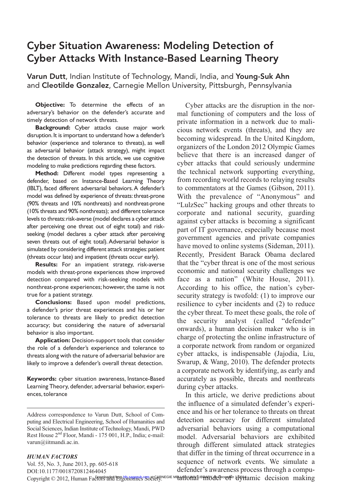# Cyber Situation Awareness: Modeling Detection of Cyber Attacks With Instance-Based Learning Theory

Varun Dutt, Indian Institute of Technology, Mandi, India, and Young-Suk Ahn and Cleotilde Gonzalez, Carnegie Mellon University, Pittsburgh, Pennsylvania

**Objective:** To determine the effects of an adversary's behavior on the defender's accurate and timely detection of network threats.

**Background:** Cyber attacks cause major work disruption. It is important to understand how a defender's behavior (experience and tolerance to threats), as well as adversarial behavior (attack strategy), might impact the detection of threats. In this article, we use cognitive modeling to make predictions regarding these factors.

**Method:** Different model types representing a defender, based on Instance-Based Learning Theory (IBLT), faced different adversarial behaviors. A defender's model was defined by experience of threats: threat-prone (90% threats and 10% nonthreats) and nonthreat-prone (10% threats and 90% nonthreats); and different tolerance levels to threats: risk-averse (model declares a cyber attack after perceiving one threat out of eight total) and riskseeking (model declares a cyber attack after perceiving seven threats out of eight total). Adversarial behavior is simulated by considering different attack strategies: patient (threats occur late) and impatient (threats occur early).

**Results:** For an impatient strategy, risk-averse models with threat-prone experiences show improved detection compared with risk-seeking models with nonthreat-prone experiences; however, the same is not true for a patient strategy.

**Conclusions:** Based upon model predictions, a defender's prior threat experiences and his or her tolerance to threats are likely to predict detection accuracy; but considering the nature of adversarial behavior is also important.

**Application:** Decision-support tools that consider the role of a defender's experience and tolerance to threats along with the nature of adversarial behavior are likely to improve a defender's overall threat detection.

**Keywords:** cyber situation awareness, Instance-Based Learning Theory, defender, adversarial behavior, experiences, tolerance

#### *HUMAN FACTORS*

Vol. 55, No. 3, June 2013, pp. 605-618 DOI:10.1177/0018720812464045

Cyber attacks are the disruption in the normal functioning of computers and the loss of private information in a network due to malicious network events (threats), and they are becoming widespread. In the United Kingdom, organizers of the London 2012 Olympic Games believe that there is an increased danger of cyber attacks that could seriously undermine the technical network supporting everything, from recording world records to relaying results to commentators at the Games (Gibson, 2011). With the prevalence of "Anonymous" and "LulzSec" hacking groups and other threats to corporate and national security, guarding against cyber attacks is becoming a significant part of IT governance, especially because most government agencies and private companies have moved to online systems (Sideman, 2011). Recently, President Barack Obama declared that the "cyber threat is one of the most serious economic and national security challenges we face as a nation" (White House, 2011). According to his office, the nation's cybersecurity strategy is twofold: (1) to improve our resilience to cyber incidents and (2) to reduce the cyber threat. To meet these goals, the role of the security analyst (called "defender" onwards), a human decision maker who is in charge of protecting the online infrastructure of a corporate network from random or organized cyber attacks, is indispensable (Jajodia, Liu, Swarup, & Wang, 2010). The defender protects a corporate network by identifying, as early and accurately as possible, threats and nonthreats during cyber attacks.

In this article, we derive predictions about the influence of a simulated defender's experience and his or her tolerance to threats on threat detection accuracy for different simulated adversarial behaviors using a computational model. Adversarial behaviors are exhibited through different simulated attack strategies that differ in the timing of threat occurrence in a sequence of network events. We simulate a defender's awareness process through a compu-

Copyright © 2012, Human Factors and Er[gonomics Soc](http://hfs.sagepub.com/)iety.<sup>neoue</sup> MHatNonul LBrito def<sup>ocopt</sup> digitamic decision making

Address correspondence to Varun Dutt, School of Computing and Electrical Engineering, School of Humanities and Social Sciences, Indian Institute of Technology, Mandi, PWD Rest House 2nd Floor, Mandi - 175 001, H.P., India; e-mail: varun@iitmandi.ac.in.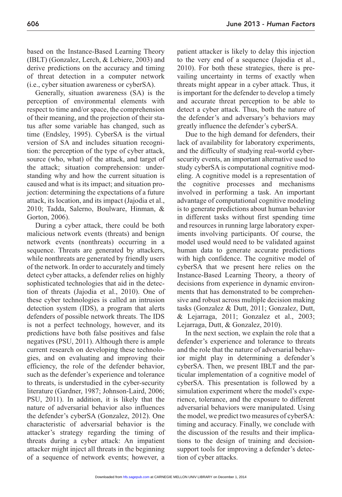based on the Instance-Based Learning Theory (IBLT) (Gonzalez, Lerch, & Lebiere, 2003) and derive predictions on the accuracy and timing of threat detection in a computer network (i.e., cyber situation awareness or cyberSA).

Generally, situation awareness (SA) is the perception of environmental elements with respect to time and/or space, the comprehension of their meaning, and the projection of their status after some variable has changed, such as time (Endsley, 1995). CyberSA is the virtual version of SA and includes situation recognition: the perception of the type of cyber attack, source (who, what) of the attack, and target of the attack; situation comprehension: understanding why and how the current situation is caused and what is its impact; and situation projection: determining the expectations of a future attack, its location, and its impact (Jajodia et al., 2010; Tadda, Salerno, Boulware, Hinman, & Gorton, 2006).

During a cyber attack, there could be both malicious network events (threats) and benign network events (nonthreats) occurring in a sequence. Threats are generated by attackers, while nonthreats are generated by friendly users of the network. In order to accurately and timely detect cyber attacks, a defender relies on highly sophisticated technologies that aid in the detection of threats (Jajodia et al., 2010). One of these cyber technologies is called an intrusion detection system (IDS), a program that alerts defenders of possible network threats. The IDS is not a perfect technology, however, and its predictions have both false positives and false negatives (PSU, 2011). Although there is ample current research on developing these technologies, and on evaluating and improving their efficiency, the role of the defender behavior, such as the defender's experience and tolerance to threats, is understudied in the cyber-security literature (Gardner, 1987; Johnson-Laird, 2006; PSU, 2011). In addition, it is likely that the nature of adversarial behavior also influences the defender's cyberSA (Gonzalez, 2012). One characteristic of adversarial behavior is the attacker's strategy regarding the timing of threats during a cyber attack: An impatient attacker might inject all threats in the beginning of a sequence of network events; however, a

patient attacker is likely to delay this injection to the very end of a sequence (Jajodia et al., 2010). For both these strategies, there is prevailing uncertainty in terms of exactly when threats might appear in a cyber attack. Thus, it is important for the defender to develop a timely and accurate threat perception to be able to detect a cyber attack. Thus, both the nature of the defender's and adversary's behaviors may greatly influence the defender's cyberSA.

Due to the high demand for defenders, their lack of availability for laboratory experiments, and the difficulty of studying real-world cybersecurity events, an important alternative used to study cyberSA is computational cognitive modeling. A cognitive model is a representation of the cognitive processes and mechanisms involved in performing a task. An important advantage of computational cognitive modeling is to generate predictions about human behavior in different tasks without first spending time and resources in running large laboratory experiments involving participants. Of course, the model used would need to be validated against human data to generate accurate predictions with high confidence. The cognitive model of cyberSA that we present here relies on the Instance-Based Learning Theory, a theory of decisions from experience in dynamic environments that has demonstrated to be comprehensive and robust across multiple decision making tasks (Gonzalez & Dutt, 2011; Gonzalez, Dutt, & Lejarraga, 2011; Gonzalez et al., 2003; Lejarraga, Dutt, & Gonzalez, 2010).

In the next section, we explain the role that a defender's experience and tolerance to threats and the role that the nature of adversarial behavior might play in determining a defender's cyberSA. Then, we present IBLT and the particular implementation of a cognitive model of cyberSA. This presentation is followed by a simulation experiment where the model's experience, tolerance, and the exposure to different adversarial behaviors were manipulated. Using the model, we predict two measures of cyberSA: timing and accuracy. Finally, we conclude with the discussion of the results and their implications to the design of training and decisionsupport tools for improving a defender's detection of cyber attacks.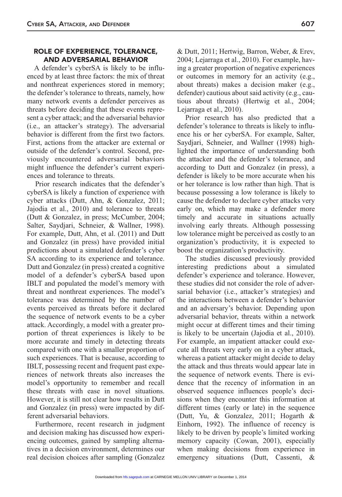# ROLE OF EXPERIENCE, TOLERANCE, AND ADVERSARIAL BEHAVIOR

A defender's cyberSA is likely to be influenced by at least three factors: the mix of threat and nonthreat experiences stored in memory; the defender's tolerance to threats, namely, how many network events a defender perceives as threats before deciding that these events represent a cyber attack; and the adversarial behavior (i.e., an attacker's strategy). The adversarial behavior is different from the first two factors. First, actions from the attacker are external or outside of the defender's control. Second, previously encountered adversarial behaviors might influence the defender's current experiences and tolerance to threats.

Prior research indicates that the defender's cyberSA is likely a function of experience with cyber attacks (Dutt, Ahn, & Gonzalez, 2011; Jajodia et al., 2010) and tolerance to threats (Dutt & Gonzalez, in press; McCumber, 2004; Salter, Saydjari, Schneier, & Wallner, 1998). For example, Dutt, Ahn, et al. (2011) and Dutt and Gonzalez (in press) have provided initial predictions about a simulated defender's cyber SA according to its experience and tolerance. Dutt and Gonzalez (in press) created a cognitive model of a defender's cyberSA based upon IBLT and populated the model's memory with threat and nonthreat experiences. The model's tolerance was determined by the number of events perceived as threats before it declared the sequence of network events to be a cyber attack. Accordingly, a model with a greater proportion of threat experiences is likely to be more accurate and timely in detecting threats compared with one with a smaller proportion of such experiences. That is because, according to IBLT, possessing recent and frequent past experiences of network threats also increases the model's opportunity to remember and recall these threats with ease in novel situations. However, it is still not clear how results in Dutt and Gonzalez (in press) were impacted by different adversarial behaviors.

Furthermore, recent research in judgment and decision making has discussed how experiencing outcomes, gained by sampling alternatives in a decision environment, determines our real decision choices after sampling (Gonzalez & Dutt, 2011; Hertwig, Barron, Weber, & Erev, 2004; Lejarraga et al., 2010). For example, having a greater proportion of negative experiences or outcomes in memory for an activity (e.g., about threats) makes a decision maker (e.g., defender) cautious about said activity (e.g., cautious about threats) (Hertwig et al., 2004; Lejarraga et al., 2010).

Prior research has also predicted that a defender's tolerance to threats is likely to influence his or her cyberSA. For example, Salter, Saydjari, Schneier, and Wallner (1998) highlighted the importance of understanding both the attacker and the defender's tolerance, and according to Dutt and Gonzalez (in press), a defender is likely to be more accurate when his or her tolerance is low rather than high. That is because possessing a low tolerance is likely to cause the defender to declare cyber attacks very early on, which may make a defender more timely and accurate in situations actually involving early threats. Although possessing low tolerance might be perceived as costly to an organization's productivity, it is expected to boost the organization's productivity.

The studies discussed previously provided interesting predictions about a simulated defender's experience and tolerance. However, these studies did not consider the role of adversarial behavior (i.e., attacker's strategies) and the interactions between a defender's behavior and an adversary's behavior. Depending upon adversarial behavior, threats within a network might occur at different times and their timing is likely to be uncertain (Jajodia et al., 2010). For example, an impatient attacker could execute all threats very early on in a cyber attack, whereas a patient attacker might decide to delay the attack and thus threats would appear late in the sequence of network events. There is evidence that the recency of information in an observed sequence influences people's decisions when they encounter this information at different times (early or late) in the sequence (Dutt, Yu, & Gonzalez, 2011; Hogarth & Einhorn, 1992). The influence of recency is likely to be driven by people's limited working memory capacity (Cowan, 2001), especially when making decisions from experience in emergency situations (Dutt, Cassenti, &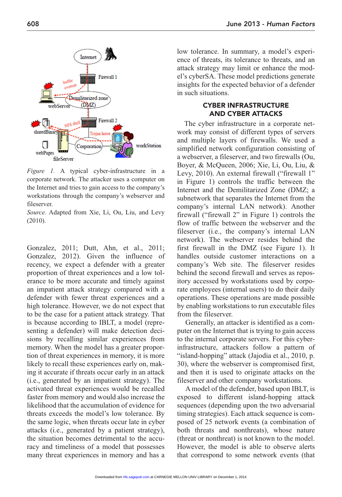

*Figure 1.* A typical cyber-infrastructure in a corporate network. The attacker uses a computer on the Internet and tries to gain access to the company's workstations through the company's webserver and fileserver.

*Source.* Adapted from Xie, Li, Ou, Liu, and Levy (2010).

Gonzalez, 2011; Dutt, Ahn, et al., 2011; Gonzalez, 2012). Given the influence of recency, we expect a defender with a greater proportion of threat experiences and a low tolerance to be more accurate and timely against an impatient attack strategy compared with a defender with fewer threat experiences and a high tolerance. However, we do not expect that to be the case for a patient attack strategy. That is because according to IBLT, a model (representing a defender) will make detection decisions by recalling similar experiences from memory. When the model has a greater proportion of threat experiences in memory, it is more likely to recall these experiences early on, making it accurate if threats occur early in an attack (i.e., generated by an impatient strategy). The activated threat experiences would be recalled faster from memory and would also increase the likelihood that the accumulation of evidence for threats exceeds the model's low tolerance. By the same logic, when threats occur late in cyber attacks (i.e., generated by a patient strategy), the situation becomes detrimental to the accuracy and timeliness of a model that possesses many threat experiences in memory and has a

low tolerance. In summary, a model's experience of threats, its tolerance to threats, and an attack strategy may limit or enhance the model's cyberSA. These model predictions generate insights for the expected behavior of a defender

# CYBER INFRASTRUCTURE AND CYBER ATTACKS

in such situations.

The cyber infrastructure in a corporate network may consist of different types of servers and multiple layers of firewalls. We used a simplified network configuration consisting of a webserver, a fileserver, and two firewalls (Ou, Boyer, & McQueen, 2006; Xie, Li, Ou, Liu, & Levy, 2010). An external firewall ("firewall 1" in Figure 1) controls the traffic between the Internet and the Demilitarized Zone (DMZ; a subnetwork that separates the Internet from the company's internal LAN network). Another firewall ("firewall 2" in Figure 1) controls the flow of traffic between the webserver and the fileserver (i.e., the company's internal LAN network). The webserver resides behind the first firewall in the DMZ (see Figure 1). It handles outside customer interactions on a company's Web site. The fileserver resides behind the second firewall and serves as repository accessed by workstations used by corporate employees (internal users) to do their daily operations. These operations are made possible by enabling workstations to run executable files from the fileserver.

Generally, an attacker is identified as a computer on the Internet that is trying to gain access to the internal corporate servers. For this cyberinfrastructure, attackers follow a pattern of "island-hopping" attack (Jajodia et al., 2010, p. 30), where the webserver is compromised first, and then it is used to originate attacks on the fileserver and other company workstations.

A model of the defender, based upon IBLT, is exposed to different island-hopping attack sequences (depending upon the two adversarial timing strategies). Each attack sequence is composed of 25 network events (a combination of both threats and nonthreats), whose nature (threat or nonthreat) is not known to the model. However, the model is able to observe alerts that correspond to some network events (that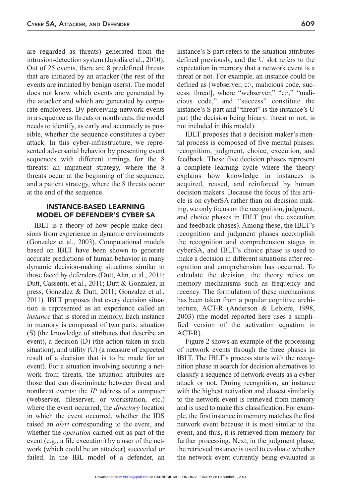are regarded as threats) generated from the intrusion-detection system (Jajodia et al., 2010). Out of 25 events, there are 8 predefined threats that are initiated by an attacker (the rest of the events are initiated by benign users). The model does not know which events are generated by the attacker and which are generated by corporate employees. By perceiving network events in a sequence as threats or nonthreats, the model needs to identify, as early and accurately as possible, whether the sequence constitutes a cyber attack. In this cyber-infrastructure, we represented adversarial behavior by presenting event sequences with different timings for the 8 threats: an impatient strategy, where the 8 threats occur at the beginning of the sequence, and a patient strategy, where the 8 threats occur at the end of the sequence.

# INSTANCE-BASED LEARNING MODEL OF DEFENDER'S CYBER SA

IBLT is a theory of how people make decisions from experience in dynamic environments (Gonzalez et al., 2003). Computational models based on IBLT have been shown to generate accurate predictions of human behavior in many dynamic decision-making situations similar to those faced by defenders (Dutt, Ahn, et al., 2011; Dutt, Cassenti, et al., 2011; Dutt & Gonzalez, in press; Gonzalez & Dutt, 2011; Gonzalez et al., 2011). IBLT proposes that every decision situation is represented as an experience called an *instance* that is stored in memory. Each instance in memory is composed of two parts: situation (S) (the knowledge of attributes that describe an event), a decision (D) (the action taken in such situation), and utility (U) (a measure of expected result of a decision that is to be made for an event). For a situation involving securing a network from threats, the situation attributes are those that can discriminate between threat and nonthreat events: the *IP* address of a computer (webserver, fileserver, or workstation, etc.) where the event occurred, the *directory* location in which the event occurred, whether the IDS raised an *alert* corresponding to the event, and whether the *operation* carried out as part of the event (e.g., a file execution) by a user of the network (which could be an attacker) succeeded or failed. In the IBL model of a defender, an

instance's S part refers to the situation attributes defined previously, and the U slot refers to the expectation in memory that a network event is a threat or not. For example, an instance could be defined as [webserver, c:\, malicious code, success; threat], where "webserver," "c:\," "malicious code," and "success" constitute the instance's S part and "threat" is the instance's U part (the decision being binary: threat or not, is not included in this model).

IBLT proposes that a decision maker's mental process is composed of five mental phases: recognition, judgment, choice, execution, and feedback. These five decision phases represent a complete learning cycle where the theory explains how knowledge in instances is acquired, reused, and reinforced by human decision makers. Because the focus of this article is on cyberSA rather than on decision making, we only focus on the recognition, judgment, and choice phases in IBLT (not the execution and feedback phases). Among these, the IBLT's recognition and judgment phases accomplish the recognition and comprehension stages in cyberSA, and IBLT's choice phase is used to make a decision in different situations after recognition and comprehension has occurred. To calculate the decision, the theory relies on memory mechanisms such as frequency and recency. The formulation of these mechanisms has been taken from a popular cognitive architecture, ACT-R (Anderson & Lebiere, 1998, 2003) (the model reported here uses a simplified version of the activation equation in ACT-R).

Figure 2 shows an example of the processing of network events through the three phases in IBLT. The IBLT's process starts with the recognition phase in search for decision alternatives to classify a sequence of network events as a cyber attack or not. During recognition, an instance with the highest activation and closest similarity to the network event is retrieved from memory and is used to make this classification. For example, the first instance in memory matches the first network event because it is most similar to the event, and thus, it is retrieved from memory for further processing. Next, in the judgment phase, the retrieved instance is used to evaluate whether the network event currently being evaluated is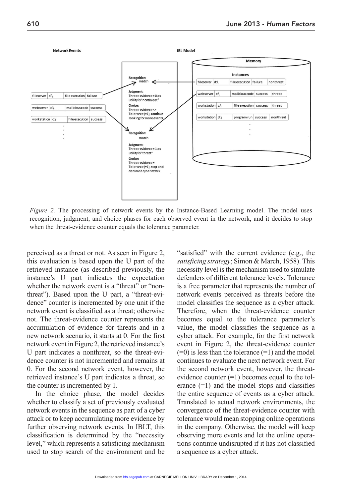

*Figure 2.* The processing of network events by the Instance-Based Learning model. The model uses recognition, judgment, and choice phases for each observed event in the network, and it decides to stop when the threat-evidence counter equals the tolerance parameter.

perceived as a threat or not. As seen in Figure 2, this evaluation is based upon the U part of the retrieved instance (as described previously, the instance's U part indicates the expectation whether the network event is a "threat" or "nonthreat"). Based upon the U part, a "threat-evidence" counter is incremented by one unit if the network event is classified as a threat; otherwise not. The threat-evidence counter represents the accumulation of evidence for threats and in a new network scenario, it starts at 0. For the first network event in Figure 2, the retrieved instance's U part indicates a nonthreat, so the threat-evidence counter is not incremented and remains at 0. For the second network event, however, the retrieved instance's U part indicates a threat, so the counter is incremented by 1.

In the choice phase, the model decides whether to classify a set of previously evaluated network events in the sequence as part of a cyber attack or to keep accumulating more evidence by further observing network events. In IBLT, this classification is determined by the "necessity level," which represents a satisficing mechanism used to stop search of the environment and be

"satisfied" with the current evidence (e.g., the *satisficing strategy*; Simon & March, 1958). This necessity level is the mechanism used to simulate defenders of different tolerance levels. Tolerance is a free parameter that represents the number of network events perceived as threats before the model classifies the sequence as a cyber attack. Therefore, when the threat-evidence counter becomes equal to the tolerance parameter's value, the model classifies the sequence as a cyber attack. For example, for the first network event in Figure 2, the threat-evidence counter  $(=0)$  is less than the tolerance  $(=1)$  and the model continues to evaluate the next network event. For the second network event, however, the threatevidence counter  $(=1)$  becomes equal to the tolerance  $(=1)$  and the model stops and classifies the entire sequence of events as a cyber attack. Translated to actual network environments, the convergence of the threat-evidence counter with tolerance would mean stopping online operations in the company. Otherwise, the model will keep observing more events and let the online operations continue undisrupted if it has not classified a sequence as a cyber attack.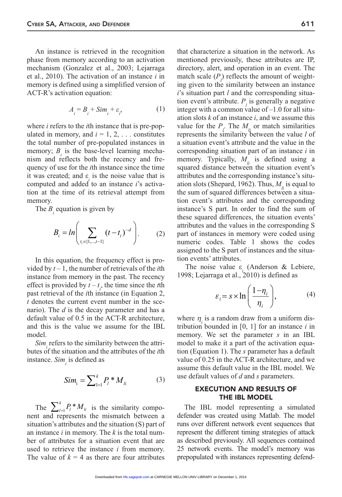An instance is retrieved in the recognition phase from memory according to an activation mechanism (Gonzalez et al., 2003; Lejarraga et al., 2010). The activation of an instance *i* in memory is defined using a simplified version of ACT-R's activation equation:

$$
A_i = B_i + Sim_i + \varepsilon_i,
$$
 (1)

where *i* refers to the *i*th instance that is pre-populated in memory, and  $i = 1, 2, \ldots$  constitutes the total number of pre-populated instances in memory;  $B_i$  is the base-level learning mechanism and reflects both the recency and frequency of use for the *i*th instance since the time it was created; and  $\varepsilon$  is the noise value that is *i* computed and added to an instance *i*'s activation at the time of its retrieval attempt from memory.

The  $B_i$  equation is given by

$$
B_i = \ln\left(\sum_{t_i \in \{1, \dots, t-1\}} (t - t_i)^{-d}\right). \tag{2}
$$

In this equation, the frequency effect is provided by  $t - 1$ , the number of retrievals of the *i*th instance from memory in the past. The recency effect is provided by  $t - t$ , the time since the *t*<sup>th</sup> past retrieval of the *i*th instance (in Equation 2, *t* denotes the current event number in the scenario). The *d* is the decay parameter and has a default value of 0.5 in the ACT-R architecture, and this is the value we assume for the IBL model.

 $Sim<sub>i</sub>$  refers to the similarity between the attributes of the situation and the attributes of the *i*th instance. *Sim*<sub>*i*</sub> is defined as

$$
Sim_{i} = \sum_{l=1}^{k} P_{l} * M_{li} \tag{3}
$$

The  $\sum_{l=1}^{k} P_l * M_{li}$  is the similarity component and represents the mismatch between a situation's attributes and the situation (S) part of an instance *i* in memory. The *k* is the total number of attributes for a situation event that are used to retrieve the instance *i* from memory. The value of  $k = 4$  as there are four attributes

that characterize a situation in the network. As mentioned previously, these attributes are IP, directory, alert, and operation in an event. The match scale  $(P_i)$  reflects the amount of weighting given to the similarity between an instance *i*'s situation part *l* and the corresponding situation event's attribute.  $P_l$  is generally a negative integer with a common value of –1.0 for all situation slots *k* of an instance *i*, and we assume this value for the  $P_i$ . The  $M_i$  or match similarities represents the similarity between the value *l* of a situation event's attribute and the value in the corresponding situation part of an instance *i* in memory. Typically,  $M_{ij}$  is defined using a squared distance between the situation event's attributes and the corresponding instance's situation slots (Shepard, 1962). Thus,  $M<sub>i</sub>$  is equal to the sum of squared differences between a situation event's attributes and the corresponding instance's S part. In order to find the sum of these squared differences, the situation events' attributes and the values in the corresponding S part of instances in memory were coded using numeric codes. Table 1 shows the codes assigned to the S part of instances and the situation events' attributes.

The noise value ε *i* (Anderson & Lebiere, 1998; Lejarraga et al., 2010) is defined as

$$
\varepsilon_i = s \times \ln\left(\frac{1 - \eta_i}{\eta_i}\right),\tag{4}
$$

where  $\eta_i$  is a random draw from a uniform distribution bounded in [0, 1] for an instance *i* in memory. We set the parameter *s* in an IBL model to make it a part of the activation equation (Equation 1). The *s* parameter has a default value of 0.25 in the ACT-R architecture, and we assume this default value in the IBL model. We use default values of *d* and *s* parameters.

# EXECUTION AND RESULTS OF THE IBL MODEL

The IBL model representing a simulated defender was created using Matlab. The model runs over different network event sequences that represent the different timing strategies of attack as described previously. All sequences contained 25 network events. The model's memory was prepopulated with instances representing defend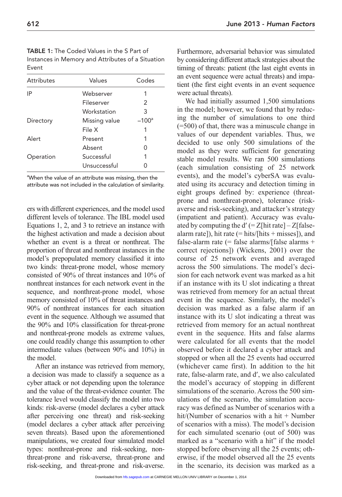TABLE 1: The Coded Values in the S Part of Instances in Memory and Attributes of a Situation Event

| <b>Attributes</b> | Values        | Codes          |
|-------------------|---------------|----------------|
| IP                | Webserver     | 1              |
|                   | Fileserver    | 2              |
|                   | Workstation   | 3              |
| Directory         | Missing value | $-100^{\circ}$ |
|                   | File X        | 1              |
| Alert             | Present       | 1              |
|                   | Absent        | O              |
| Operation         | Successful    | 1              |
|                   | Unsuccessful  | O              |

<sup>a</sup>When the value of an attribute was missing, then the attribute was not included in the calculation of similarity.

ers with different experiences, and the model used different levels of tolerance. The IBL model used Equations 1, 2, and 3 to retrieve an instance with the highest activation and made a decision about whether an event is a threat or nonthreat. The proportion of threat and nonthreat instances in the model's prepopulated memory classified it into two kinds: threat-prone model, whose memory consisted of 90% of threat instances and 10% of nonthreat instances for each network event in the sequence, and nonthreat-prone model, whose memory consisted of 10% of threat instances and 90% of nonthreat instances for each situation event in the sequence. Although we assumed that the 90% and 10% classification for threat-prone and nonthreat-prone models as extreme values, one could readily change this assumption to other intermediate values (between 90% and 10%) in the model.

After an instance was retrieved from memory, a decision was made to classify a sequence as a cyber attack or not depending upon the tolerance and the value of the threat-evidence counter. The tolerance level would classify the model into two kinds: risk-averse (model declares a cyber attack after perceiving one threat) and risk-seeking (model declares a cyber attack after perceiving seven threats). Based upon the aforementioned manipulations, we created four simulated model types: nonthreat-prone and risk-seeking, nonthreat-prone and risk-averse, threat-prone and risk-seeking, and threat-prone and risk-averse.

Furthermore, adversarial behavior was simulated by considering different attack strategies about the timing of threats: patient (the last eight events in an event sequence were actual threats) and impatient (the first eight events in an event sequence were actual threats).

We had initially assumed 1,500 simulations in the model; however, we found that by reducing the number of simulations to one third (=500) of that, there was a minuscule change in values of our dependent variables. Thus, we decided to use only 500 simulations of the model as they were sufficient for generating stable model results. We ran 500 simulations (each simulation consisting of 25 network events), and the model's cyberSA was evaluated using its accuracy and detection timing in eight groups defined by: experience (threatprone and nonthreat-prone), tolerance (riskaverse and risk-seeking), and attacker's strategy (impatient and patient). Accuracy was evaluated by computing the  $d'$  (= Z[hit rate] – Z[falsealarm rate]), hit rate  $(=\text{hits/}{\text{hits} + \text{misses}})$ , and false-alarm rate (= false alarms/ $\lceil$ false alarms + correct rejections]) (Wickens, 2001) over the course of 25 network events and averaged across the 500 simulations. The model's decision for each network event was marked as a hit if an instance with its U slot indicating a threat was retrieved from memory for an actual threat event in the sequence. Similarly, the model's decision was marked as a false alarm if an instance with its U slot indicating a threat was retrieved from memory for an actual nonthreat event in the sequence. Hits and false alarms were calculated for all events that the model observed before it declared a cyber attack and stopped or when all the 25 events had occurred (whichever came first). In addition to the hit rate, false-alarm rate, and d′, we also calculated the model's accuracy of stopping in different simulations of the scenario. Across the 500 simulations of the scenario, the simulation accuracy was defined as Number of scenarios with a hit/(Number of scenarios with a hit  $+$  Number of scenarios with a miss). The model's decision for each simulated scenario (out of 500) was marked as a "scenario with a hit" if the model stopped before observing all the 25 events; otherwise, if the model observed all the 25 events in the scenario, its decision was marked as a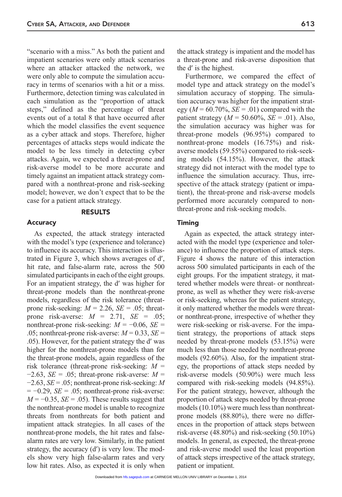"scenario with a miss." As both the patient and impatient scenarios were only attack scenarios where an attacker attacked the network, we were only able to compute the simulation accuracy in terms of scenarios with a hit or a miss. Furthermore, detection timing was calculated in each simulation as the "proportion of attack steps," defined as the percentage of threat events out of a total 8 that have occurred after which the model classifies the event sequence as a cyber attack and stops. Therefore, higher percentages of attacks steps would indicate the model to be less timely in detecting cyber attacks. Again, we expected a threat-prone and risk-averse model to be more accurate and timely against an impatient attack strategy compared with a nonthreat-prone and risk-seeking model; however, we don't expect that to be the case for a patient attack strategy.

#### RESULTS

#### **Accuracy**

As expected, the attack strategy interacted with the model's type (experience and tolerance) to influence its accuracy. This interaction is illustrated in Figure 3, which shows averages of d′, hit rate, and false-alarm rate, across the 500 simulated participants in each of the eight groups. For an impatient strategy, the d′ was higher for threat-prone models than the nonthreat-prone models, regardless of the risk tolerance (threatprone risk-seeking:  $M = 2.26$ ,  $SE = .05$ ; threatprone risk-averse:  $M = 2.71$ ,  $SE = .05$ ; nonthreat-prone risk-seeking:  $M = -0.06$ ,  $SE =$ .05; nonthreat-prone risk-averse:  $M = 0.33$ ,  $SE =$ .05). However, for the patient strategy the d′ was higher for the nonthreat-prone models than for the threat-prone models, again regardless of the risk tolerance (threat-prone risk-seeking: *M* =  $-2.63$ , *SE* = .05; threat-prone risk-averse: *M* = −2.63, *SE* = .05; nonthreat-prone risk-seeking: *M*  $= -0.29$ , *SE* = .05; nonthreat-prone risk-averse:  $M = -0.35$ , *SE* = .05). These results suggest that the nonthreat-prone model is unable to recognize threats from nonthreats for both patient and impatient attack strategies. In all cases of the nonthreat-prone models, the hit rates and falsealarm rates are very low. Similarly, in the patient strategy, the accuracy (d′) is very low. The models show very high false-alarm rates and very low hit rates. Also, as expected it is only when

the attack strategy is impatient and the model has a threat-prone and risk-averse disposition that the d′ is the highest.

Furthermore, we compared the effect of model type and attack strategy on the model's simulation accuracy of stopping. The simulation accuracy was higher for the impatient strategy ( $M = 60.70\%$ ,  $SE = .01$ ) compared with the patient strategy ( $M = 50.60\%$ ,  $SE = .01$ ). Also, the simulation accuracy was higher was for threat-prone models (96.95%) compared to nonthreat-prone models (16.75%) and riskaverse models (59.55%) compared to risk-seeking models (54.15%). However, the attack strategy did not interact with the model type to influence the simulation accuracy. Thus, irrespective of the attack strategy (patient or impatient), the threat-prone and risk-averse models performed more accurately compared to nonthreat-prone and risk-seeking models.

#### Timing

Again as expected, the attack strategy interacted with the model type (experience and tolerance) to influence the proportion of attack steps. Figure 4 shows the nature of this interaction across 500 simulated participants in each of the eight groups. For the impatient strategy, it mattered whether models were threat- or nonthreatprone, as well as whether they were risk-averse or risk-seeking, whereas for the patient strategy, it only mattered whether the models were threator nonthreat-prone, irrespective of whether they were risk-seeking or risk-averse. For the impatient strategy, the proportions of attack steps needed by threat-prone models (53.15%) were much less than those needed by nonthreat-prone models (92.60%). Also, for the impatient strategy, the proportions of attack steps needed by risk-averse models (50.90%) were much less compared with risk-seeking models (94.85%). For the patient strategy, however, although the proportion of attack steps needed by threat-prone models (10.10%) were much less than nonthreatprone models (88.80%), there were no differences in the proportion of attack steps between risk-averse (48.80%) and risk-seeking (50.10%) models. In general, as expected, the threat-prone and risk-averse model used the least proportion of attack steps irrespective of the attack strategy, patient or impatient.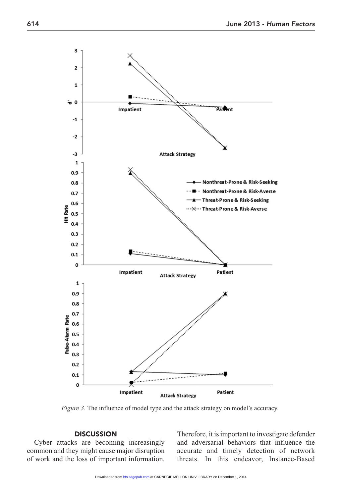

*Figure 3.* The influence of model type and the attack strategy on model's accuracy.

### **DISCUSSION**

Cyber attacks are becoming increasingly common and they might cause major disruption of work and the loss of important information.

Therefore, it is important to investigate defender and adversarial behaviors that influence the accurate and timely detection of network threats. In this endeavor, Instance-Based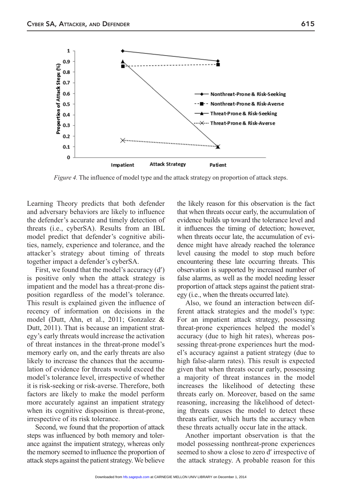

*Figure 4.* The influence of model type and the attack strategy on proportion of attack steps.

Learning Theory predicts that both defender and adversary behaviors are likely to influence the defender's accurate and timely detection of threats (i.e., cyberSA). Results from an IBL model predict that defender's cognitive abilities, namely, experience and tolerance, and the attacker's strategy about timing of threats together impact a defender's cyberSA.

First, we found that the model's accuracy (d′) is positive only when the attack strategy is impatient and the model has a threat-prone disposition regardless of the model's tolerance. This result is explained given the influence of recency of information on decisions in the model (Dutt, Ahn, et al., 2011; Gonzalez & Dutt, 2011). That is because an impatient strategy's early threats would increase the activation of threat instances in the threat-prone model's memory early on, and the early threats are also likely to increase the chances that the accumulation of evidence for threats would exceed the model's tolerance level, irrespective of whether it is risk-seeking or risk-averse. Therefore, both factors are likely to make the model perform more accurately against an impatient strategy when its cognitive disposition is threat-prone, irrespective of its risk tolerance.

Second, we found that the proportion of attack steps was influenced by both memory and tolerance against the impatient strategy, whereas only the memory seemed to influence the proportion of attack steps against the patient strategy. We believe

the likely reason for this observation is the fact that when threats occur early, the accumulation of evidence builds up toward the tolerance level and it influences the timing of detection; however, when threats occur late, the accumulation of evidence might have already reached the tolerance level causing the model to stop much before encountering these late occurring threats. This observation is supported by increased number of false alarms, as well as the model needing lesser proportion of attack steps against the patient strategy (i.e., when the threats occurred late).

Also, we found an interaction between different attack strategies and the model's type: For an impatient attack strategy, possessing threat-prone experiences helped the model's accuracy (due to high hit rates), whereas possessing threat-prone experiences hurt the model's accuracy against a patient strategy (due to high false-alarm rates). This result is expected given that when threats occur early, possessing a majority of threat instances in the model increases the likelihood of detecting these threats early on. Moreover, based on the same reasoning, increasing the likelihood of detecting threats causes the model to detect these threats earlier, which hurts the accuracy when these threats actually occur late in the attack.

Another important observation is that the model possessing nonthreat-prone experiences seemed to show a close to zero d′ irrespective of the attack strategy. A probable reason for this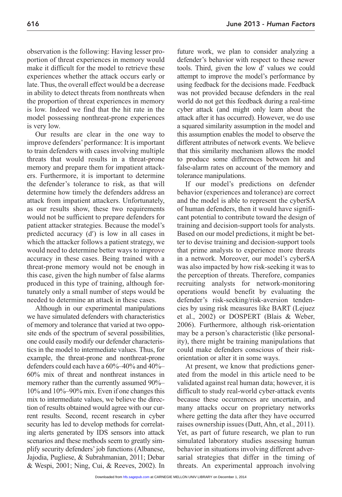observation is the following: Having lesser proportion of threat experiences in memory would make it difficult for the model to retrieve these experiences whether the attack occurs early or late. Thus, the overall effect would be a decrease in ability to detect threats from nonthreats when the proportion of threat experiences in memory is low. Indeed we find that the hit rate in the model possessing nonthreat-prone experiences is very low.

Our results are clear in the one way to improve defenders' performance: It is important to train defenders with cases involving multiple threats that would results in a threat-prone memory and prepare them for impatient attackers. Furthermore, it is important to determine the defender's tolerance to risk, as that will determine how timely the defenders address an attack from impatient attackers. Unfortunately, as our results show, these two requirements would not be sufficient to prepare defenders for patient attacker strategies. Because the model's predicted accuracy (d′) is low in all cases in which the attacker follows a patient strategy, we would need to determine better ways to improve accuracy in these cases. Being trained with a threat-prone memory would not be enough in this case, given the high number of false alarms produced in this type of training, although fortunately only a small number of steps would be needed to determine an attack in these cases.

Although in our experimental manipulations we have simulated defenders with characteristics of memory and tolerance that varied at two opposite ends of the spectrum of several possibilities, one could easily modify our defender characteristics in the model to intermediate values. Thus, for example, the threat-prone and nonthreat-prone defenders could each have a 60%–40% and 40%– 60% mix of threat and nonthreat instances in memory rather than the currently assumed 90%– 10% and 10%–90% mix. Even if one changes this mix to intermediate values, we believe the direction of results obtained would agree with our current results. Second, recent research in cyber security has led to develop methods for correlating alerts generated by IDS sensors into attack scenarios and these methods seem to greatly simplify security defenders' job functions (Albanese, Jajodia, Pugliese, & Subrahmanian, 2011; Debar & Wespi, 2001; Ning, Cui, & Reeves, 2002). In

future work, we plan to consider analyzing a defender's behavior with respect to these newer tools. Third, given the low d′ values we could attempt to improve the model's performance by using feedback for the decisions made. Feedback was not provided because defenders in the real world do not get this feedback during a real-time cyber attack (and might only learn about the attack after it has occurred). However, we do use a squared similarity assumption in the model and this assumption enables the model to observe the different attributes of network events. We believe that this similarity mechanism allows the model to produce some differences between hit and false-alarm rates on account of the memory and tolerance manipulations.

If our model's predictions on defender behavior (experiences and tolerance) are correct and the model is able to represent the cyberSA of human defenders, then it would have significant potential to contribute toward the design of training and decision-support tools for analysts. Based on our model predictions, it might be better to devise training and decision-support tools that prime analysts to experience more threats in a network. Moreover, our model's cyberSA was also impacted by how risk-seeking it was to the perception of threats. Therefore, companies recruiting analysts for network-monitoring operations would benefit by evaluating the defender's risk-seeking/risk-aversion tendencies by using risk measures like BART (Lejuez et al., 2002) or DOSPERT (Blais & Weber, 2006). Furthermore, although risk-orientation may be a person's characteristic (like personality), there might be training manipulations that could make defenders conscious of their riskorientation or alter it in some ways.

At present, we know that predictions generated from the model in this article need to be validated against real human data; however, it is difficult to study real-world cyber-attack events because these occurrences are uncertain, and many attacks occur on proprietary networks where getting the data after they have occurred raises ownership issues (Dutt, Ahn, et al., 2011). Yet, as part of future research, we plan to run simulated laboratory studies assessing human behavior in situations involving different adversarial strategies that differ in the timing of threats. An experimental approach involving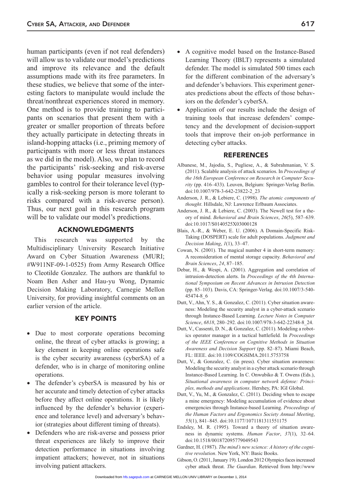human participants (even if not real defenders) will allow us to validate our model's predictions and improve its relevance and the default assumptions made with its free parameters. In these studies, we believe that some of the interesting factors to manipulate would include the threat/nonthreat experiences stored in memory. One method is to provide training to participants on scenarios that present them with a greater or smaller proportion of threats before they actually participate in detecting threats in island-hopping attacks (i.e., priming memory of participants with more or less threat instances as we did in the model). Also, we plan to record the participants' risk-seeking and risk-averse behavior using popular measures involving gambles to control for their tolerance level (typically a risk-seeking person is more tolerant to risks compared with a risk-averse person). Thus, our next goal in this research program will be to validate our model's predictions.

# ACKNOWLEDGMENTS

This research was supported by the Multidisciplinary University Research Initiative Award on Cyber Situation Awareness (MURI; #W911NF-09-1-0525) from Army Research Office to Cleotilde Gonzalez. The authors are thankful to Noam Ben Asher and Hau-yu Wong, Dynamic Decision Making Laboratory, Carnegie Mellon University, for providing insightful comments on an earlier version of the article.

# KEY POINTS

- Due to most corporate operations becoming online, the threat of cyber attacks is growing; a key element in keeping online operations safe is the cyber security awareness (cyberSA) of a defender, who is in charge of monitoring online operations.
- The defender's cyberSA is measured by his or her accurate and timely detection of cyber attacks before they affect online operations. It is likely influenced by the defender's behavior (experience and tolerance level) and adversary's behavior (strategies about different timing of threats).
- Defenders who are risk-averse and possess prior threat experiences are likely to improve their detection performance in situations involving impatient attackers; however, not in situations involving patient attackers.
- A cognitive model based on the Instance-Based Learning Theory (IBLT) represents a simulated defender. The model is simulated 500 times each for the different combination of the adversary's and defender's behaviors. This experiment generates predictions about the effects of those behaviors on the defender's cyberSA.
- Application of our results include the design of training tools that increase defenders' competency and the development of decision-support tools that improve their on-job performance in detecting cyber attacks.

#### REFERENCES

- Albanese, M., Jajodia, S., Pugliese, A., & Subrahmanian, V. S. (2011). Scalable analysis of attack scenarios. In *Proceedings of the 16th European Conference on Research in Computer Security* (pp. 416–433). Leuven, Belgium: Springer-Verlag Berlin. doi:10.1007/978-3-642-23822-2\_23
- Anderson, J. R., & Lebiere, C. (1998). *The atomic components of thought*. Hillsdale, NJ: Lawrence Erlbaum Associates.
- Anderson, J. R., & Lebiere, C. (2003). The Newell test for a theory of mind. *Behavioral and Brain Sciences*, *26*(5), 587–639. doi:10.1017/S0140525X03000128
- Blais, A.-R., & Weber, E. U. (2006). A Domain-Specific Risk-Taking (DOSPERT) scale for adult populations. *Judgment and Decision Making*, *1*(1), 33–47.
- Cowan, N. (2001). The magical number 4 in short-term memory: A reconsideration of mental storage capacity. *Behavioral and Brain Sciences*, *24*, 87–185.
- Debar, H., & Wespi, A. (2001). Aggregation and correlation of intrusion-detection alerts. In *Proceedings of the 4th International Symposium on Recent Advances in Intrusion Detection* (pp. 85–103). Davis, CA: Springer-Verlag. doi:10.1007/3-540- 45474-8\_6
- Dutt, V., Ahn, Y. S., & Gonzalez, C. (2011). Cyber situation awareness: Modeling the security analyst in a cyber-attack scenario through Instance-Based Learning. *Lecture Notes in Computer Science*, *6818*, 280–292. doi:10.1007/978-3-642-22348-8\_24.
- Dutt, V., Cassenti, D. N., & Gonzalez, C. (2011). Modeling a robotics operator manager in a tactical battlefield. In *Proceedings of the IEEE Conference on Cognitive Methods in Situation Awareness and Decision Support* (pp. 82–87). Miami Beach, FL: IEEE. doi:10.1109/COGSIMA.2011.5753758
- Dutt, V., & Gonzalez, C. (in press). Cyber situation awareness: Modeling the security analyst in a cyber attack scenario through Instance-Based Learning. In C. Onwubiko & T. Owens (Eds.), *Situational awareness in computer network defense: Principles, methods and applications*. Hershey, PA: IGI Global.
- Dutt, V., Yu, M., & Gonzalez, C. (2011). Deciding when to escape a mine emergency: Modeling accumulation of evidence about emergencies through Instance-based Learning. *Proceedings of the Human Factors and Ergonomics Society Annual Meeting*, *55*(1), 841–845. doi:10.1177/1071181311551175
- Endsley, M. R. (1995). Toward a theory of situation awareness in dynamic systems. *Human Factor*, *37*(1), 32–64. doi:10.1518/001872095779049543
- Gardner, H. (1987). *The mind's new science: A history of the cognitive revolution*. New York, NY: Basic Books.
- Gibson, O. (2011, January 19). London 2012 Olympics faces increased cyber attack threat. *The Guardian*. Retrieved from http://www